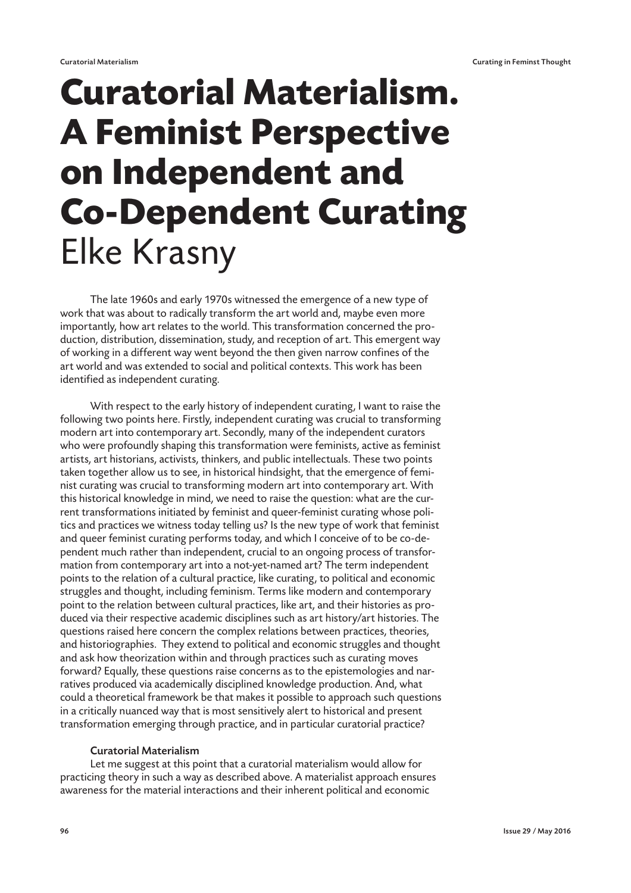# **Curatorial Materialism. A Feminist Perspective on Independent and Co-Dependent Curating** Elke Krasny

The late 1960s and early 1970s witnessed the emergence of a new type of work that was about to radically transform the art world and, maybe even more importantly, how art relates to the world. This transformation concerned the production, distribution, dissemination, study, and reception of art. This emergent way of working in a different way went beyond the then given narrow confines of the art world and was extended to social and political contexts. This work has been identified as independent curating.

With respect to the early history of independent curating, I want to raise the following two points here. Firstly, independent curating was crucial to transforming modern art into contemporary art. Secondly, many of the independent curators who were profoundly shaping this transformation were feminists, active as feminist artists, art historians, activists, thinkers, and public intellectuals. These two points taken together allow us to see, in historical hindsight, that the emergence of feminist curating was crucial to transforming modern art into contemporary art. With this historical knowledge in mind, we need to raise the question: what are the current transformations initiated by feminist and queer-feminist curating whose politics and practices we witness today telling us? Is the new type of work that feminist and queer feminist curating performs today, and which I conceive of to be co-dependent much rather than independent, crucial to an ongoing process of transformation from contemporary art into a not-yet-named art? The term independent points to the relation of a cultural practice, like curating, to political and economic struggles and thought, including feminism. Terms like modern and contemporary point to the relation between cultural practices, like art, and their histories as produced via their respective academic disciplines such as art history/art histories. The questions raised here concern the complex relations between practices, theories, and historiographies. They extend to political and economic struggles and thought and ask how theorization within and through practices such as curating moves forward? Equally, these questions raise concerns as to the epistemologies and narratives produced via academically disciplined knowledge production. And, what could a theoretical framework be that makes it possible to approach such questions in a critically nuanced way that is most sensitively alert to historical and present transformation emerging through practice, and in particular curatorial practice?

### Curatorial Materialism

Let me suggest at this point that a curatorial materialism would allow for practicing theory in such a way as described above. A materialist approach ensures awareness for the material interactions and their inherent political and economic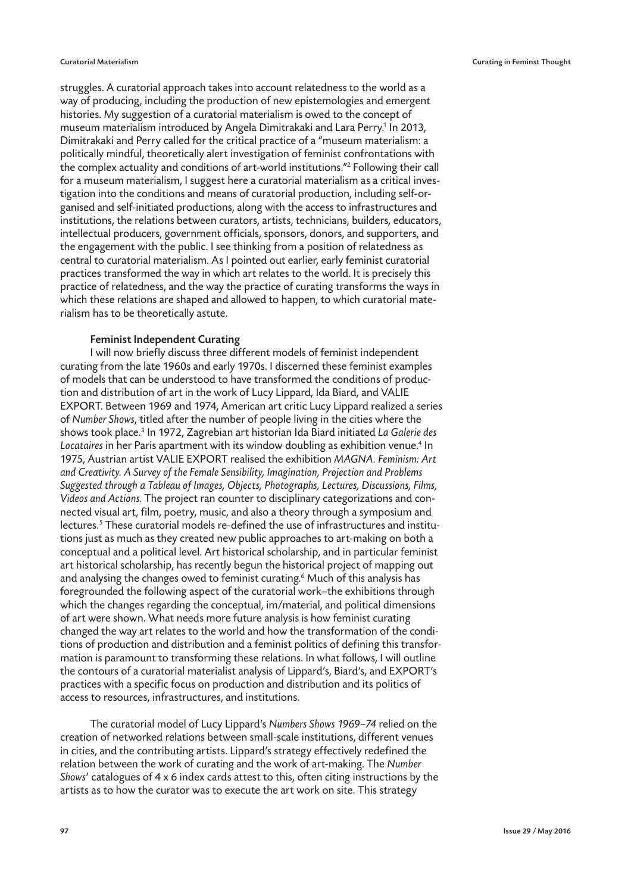struggles. A curatorial approach takes into account relatedness to the world as a way of producing, including the production of new epistemologies and emergent histories. My suggestion of a curatorial materialism is owed to the concept of museum materialism introduced by Angela Dimitrakaki and Lara Perry.<sup>1</sup> In 2013, Dimitrakaki and Perry called for the critical practice of a "museum materialism: a politically mindful, theoretically alert investigation of feminist confrontations with the complex actuality and conditions of art-world institutions."2 Following their call for a museum materialism, I suggest here a curatorial materialism as a critical investigation into the conditions and means of curatorial production, including self-organised and self-initiated productions, along with the access to infrastructures and institutions, the relations between curators, artists, technicians, builders, educators, intellectual producers, government officials, sponsors, donors, and supporters, and the engagement with the public. I see thinking from a position of relatedness as central to curatorial materialism. As I pointed out earlier, early feminist curatorial practices transformed the way in which art relates to the world. It is precisely this practice of relatedness, and the way the practice of curating transforms the ways in which these relations are shaped and allowed to happen, to which curatorial materialism has to be theoretically astute.

### Feminist Independent Curating

I will now briefly discuss three different models of feminist independent curating from the late 1960s and early 1970s. I discerned these feminist examples of models that can be understood to have transformed the conditions of production and distribution of art in the work of Lucy Lippard, Ida Biard, and VALIE EXPORT. Between 1969 and 1974, American art critic Lucy Lippard realized a series of Number Shows, titled after the number of people living in the cities where the shows took place.<sup>3</sup> In 1972, Zagrebian art historian Ida Biard initiated L*a Galerie des* Locataires in her Paris apartment with its window doubling as exhibition venue.<sup>4</sup> In 1975, Austrian artist VALIE EXPORT realised the exhibition MAGNA. Feminism: Art and Creativity. A Survey of the Female Sensibility, Imagination, Projection and Problems Suggested through a Tableau of Images, Objects, Photographs, Lectures, Discussions, Films, Videos and Actions. The project ran counter to disciplinary categorizations and connected visual art, film, poetry, music, and also a theory through a symposium and lectures.5 These curatorial models re-defined the use of infrastructures and institutions just as much as they created new public approaches to art-making on both a conceptual and a political level. Art historical scholarship, and in particular feminist art historical scholarship, has recently begun the historical project of mapping out and analysing the changes owed to feminist curating.6 Much of this analysis has foregrounded the following aspect of the curatorial work—the exhibitions through which the changes regarding the conceptual, im/material, and political dimensions of art were shown. What needs more future analysis is how feminist curating changed the way art relates to the world and how the transformation of the conditions of production and distribution and a feminist politics of defining this transformation is paramount to transforming these relations. In what follows, I will outline the contours of a curatorial materialist analysis of Lippard's, Biard's, and EXPORT's practices with a specific focus on production and distribution and its politics of access to resources, infrastructures, and institutions.

The curatorial model of Lucy Lippard's Numbers Shows 1969–74 relied on the creation of networked relations between small-scale institutions, different venues in cities, and the contributing artists. Lippard's strategy effectively redefined the relation between the work of curating and the work of art-making. The Number Shows' catalogues of 4 x 6 index cards attest to this, often citing instructions by the artists as to how the curator was to execute the art work on site. This strategy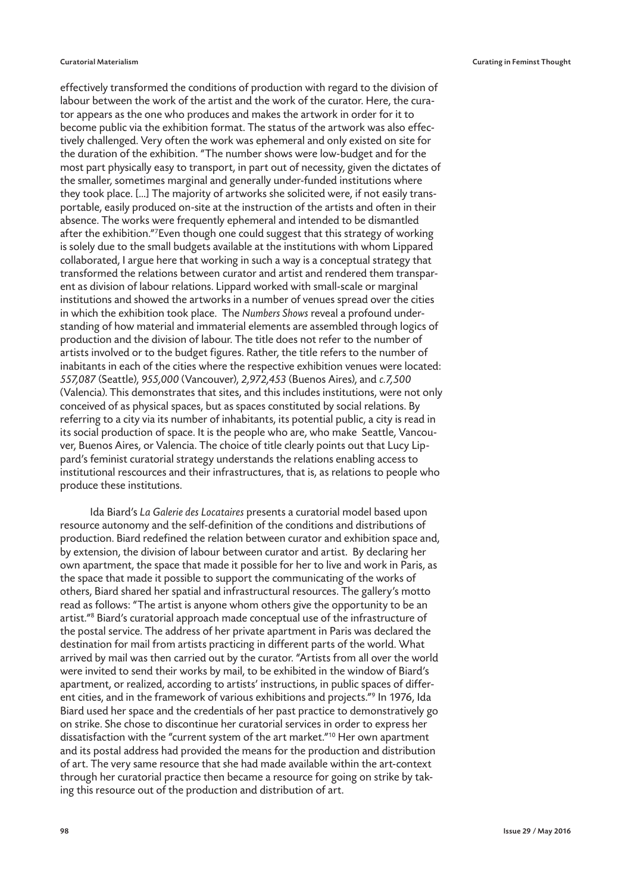effectively transformed the conditions of production with regard to the division of labour between the work of the artist and the work of the curator. Here, the curator appears as the one who produces and makes the artwork in order for it to become public via the exhibition format. The status of the artwork was also effectively challenged. Very often the work was ephemeral and only existed on site for the duration of the exhibition. "The number shows were low-budget and for the most part physically easy to transport, in part out of necessity, given the dictates of the smaller, sometimes marginal and generally under-funded institutions where they took place. […] The majority of artworks she solicited were, if not easily transportable, easily produced on-site at the instruction of the artists and often in their absence. The works were frequently ephemeral and intended to be dismantled after the exhibition."<sup>7</sup>Even though one could suggest that this strategy of working is solely due to the small budgets available at the institutions with whom Lippared collaborated, I argue here that working in such a way is a conceptual strategy that transformed the relations between curator and artist and rendered them transparent as division of labour relations. Lippard worked with small-scale or marginal institutions and showed the artworks in a number of venues spread over the cities in which the exhibition took place. The Numbers Shows reveal a profound understanding of how material and immaterial elements are assembled through logics of production and the division of labour. The title does not refer to the number of artists involved or to the budget figures. Rather, the title refers to the number of inabitants in each of the cities where the respective exhibition venues were located: 557,087 (Seattle), 955,000 (Vancouver), 2,972,453 (Buenos Aires), and c.7,500 (Valencia). This demonstrates that sites, and this includes institutions, were not only conceived of as physical spaces, but as spaces constituted by social relations. By referring to a city via its number of inhabitants, its potential public, a city is read in its social production of space. It is the people who are, who make Seattle, Vancouver, Buenos Aires, or Valencia. The choice of title clearly points out that Lucy Lippard's feminist curatorial strategy understands the relations enabling access to institutional rescources and their infrastructures, that is, as relations to people who produce these institutions.

Ida Biard's La Galerie des Locataires presents a curatorial model based upon resource autonomy and the self-definition of the conditions and distributions of production. Biard redefined the relation between curator and exhibition space and, by extension, the division of labour between curator and artist. By declaring her own apartment, the space that made it possible for her to live and work in Paris, as the space that made it possible to support the communicating of the works of others, Biard shared her spatial and infrastructural resources. The gallery's motto read as follows: "The artist is anyone whom others give the opportunity to be an artist."8 Biard's curatorial approach made conceptual use of the infrastructure of the postal service. The address of her private apartment in Paris was declared the destination for mail from artists practicing in different parts of the world. What arrived by mail was then carried out by the curator. "Artists from all over the world were invited to send their works by mail, to be exhibited in the window of Biard's apartment, or realized, according to artists' instructions, in public spaces of different cities, and in the framework of various exhibitions and projects."9 In 1976, Ida Biard used her space and the credentials of her past practice to demonstratively go on strike. She chose to discontinue her curatorial services in order to express her dissatisfaction with the "current system of the art market."10 Her own apartment and its postal address had provided the means for the production and distribution of art. The very same resource that she had made available within the art-context through her curatorial practice then became a resource for going on strike by taking this resource out of the production and distribution of art.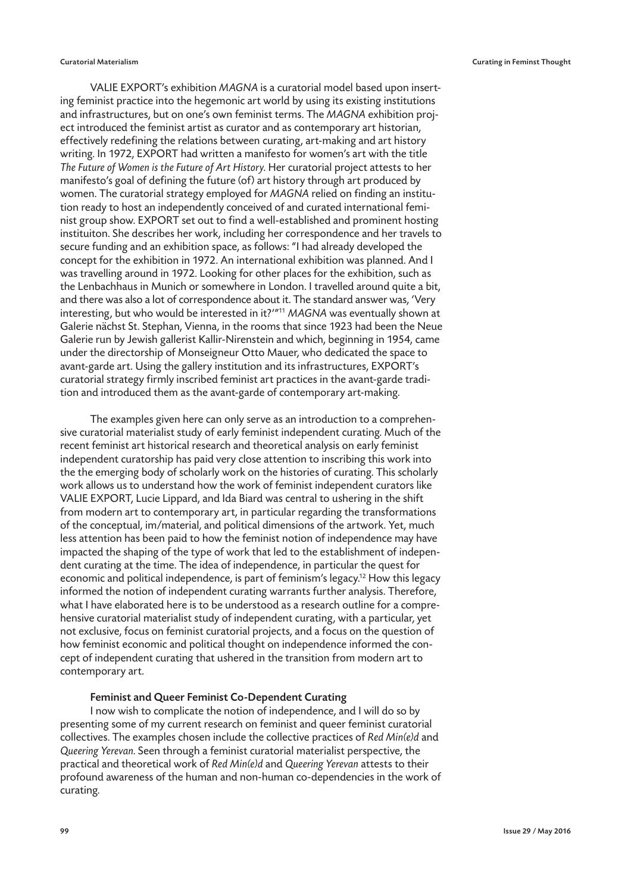VALIE EXPORT's exhibition MAGNA is a curatorial model based upon inserting feminist practice into the hegemonic art world by using its existing institutions and infrastructures, but on one's own feminist terms. The MAGNA exhibition project introduced the feminist artist as curator and as contemporary art historian, effectively redefining the relations between curating, art-making and art history writing. In 1972, EXPORT had written a manifesto for women's art with the title The Future of Women is the Future of Art History. Her curatorial project attests to her manifesto's goal of defining the future (of) art history through art produced by women. The curatorial strategy employed for MAGNA relied on finding an institution ready to host an independently conceived of and curated international feminist group show. EXPORT set out to find a well-established and prominent hosting instituiton. She describes her work, including her correspondence and her travels to secure funding and an exhibition space, as follows: "I had already developed the concept for the exhibition in 1972. An international exhibition was planned. And I was travelling around in 1972. Looking for other places for the exhibition, such as the Lenbachhaus in Munich or somewhere in London. I travelled around quite a bit, and there was also a lot of correspondence about it. The standard answer was, 'Very interesting, but who would be interested in it?'"11 MAGNA was eventually shown at Galerie nächst St. Stephan, Vienna, in the rooms that since 1923 had been the Neue Galerie run by Jewish gallerist Kallir-Nirenstein and which, beginning in 1954, came under the directorship of Monseigneur Otto Mauer, who dedicated the space to avant-garde art. Using the gallery institution and its infrastructures, EXPORT's curatorial strategy firmly inscribed feminist art practices in the avant-garde tradition and introduced them as the avant-garde of contemporary art-making.

The examples given here can only serve as an introduction to a comprehensive curatorial materialist study of early feminist independent curating. Much of the recent feminist art historical research and theoretical analysis on early feminist independent curatorship has paid very close attention to inscribing this work into the the emerging body of scholarly work on the histories of curating. This scholarly work allows us to understand how the work of feminist independent curators like VALIE EXPORT, Lucie Lippard, and Ida Biard was central to ushering in the shift from modern art to contemporary art, in particular regarding the transformations of the conceptual, im/material, and political dimensions of the artwork. Yet, much less attention has been paid to how the feminist notion of independence may have impacted the shaping of the type of work that led to the establishment of independent curating at the time. The idea of independence, in particular the quest for economic and political independence, is part of feminism's legacy.<sup>12</sup> How this legacy informed the notion of independent curating warrants further analysis. Therefore, what I have elaborated here is to be understood as a research outline for a comprehensive curatorial materialist study of independent curating, with a particular, yet not exclusive, focus on feminist curatorial projects, and a focus on the question of how feminist economic and political thought on independence informed the concept of independent curating that ushered in the transition from modern art to contemporary art.

## Feminist and Queer Feminist Co-Dependent Curating

I now wish to complicate the notion of independence, and I will do so by presenting some of my current research on feminist and queer feminist curatorial collectives. The examples chosen include the collective practices of Red Min(e)d and Queering Yerevan. Seen through a feminist curatorial materialist perspective, the practical and theoretical work of Red Min(e)d and Queering Yerevan attests to their profound awareness of the human and non-human co-dependencies in the work of curating.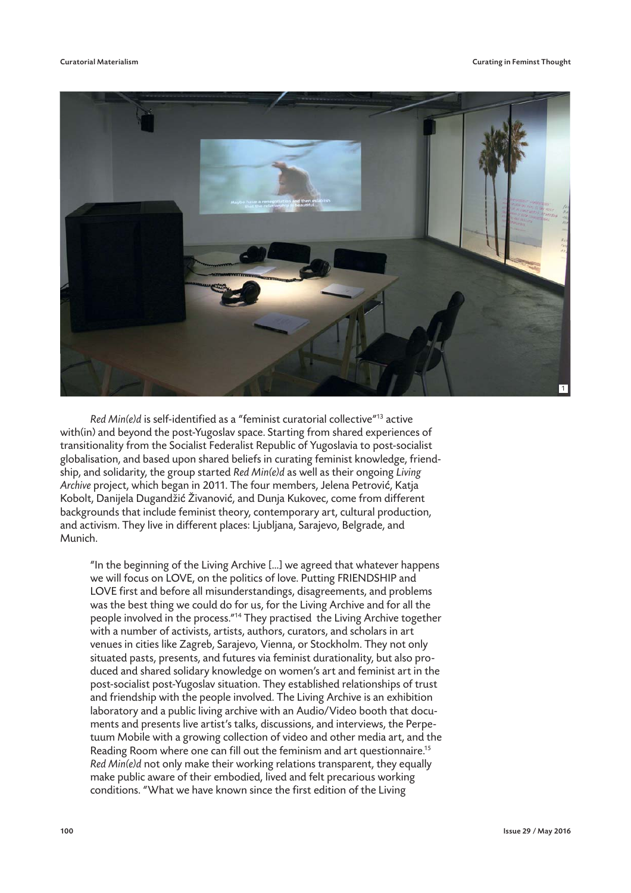

Red Min(e)d is self-identified as a "feminist curatorial collective"<sup>13</sup> active with(in) and beyond the post-Yugoslav space. Starting from shared experiences of transitionality from the Socialist Federalist Republic of Yugoslavia to post-socialist globalisation, and based upon shared beliefs in curating feminist knowledge, friendship, and solidarity, the group started Red Min(e)d as well as their ongoing Living Archive project, which began in 2011. The four members, Jelena Petrović, Katja Kobolt, Danijela Dugandžić Živanović, and Dunja Kukovec, come from different backgrounds that include feminist theory, contemporary art, cultural production, and activism. They live in different places: Ljubljana, Sarajevo, Belgrade, and Munich.

"In the beginning of the Living Archive […] we agreed that whatever happens we will focus on LOVE, on the politics of love. Putting FRIENDSHIP and LOVE first and before all misunderstandings, disagreements, and problems was the best thing we could do for us, for the Living Archive and for all the people involved in the process."14 They practised the Living Archive together with a number of activists, artists, authors, curators, and scholars in art venues in cities like Zagreb, Sarajevo, Vienna, or Stockholm. They not only situated pasts, presents, and futures via feminist durationality, but also produced and shared solidary knowledge on women's art and feminist art in the post-socialist post-Yugoslav situation. They established relationships of trust and friendship with the people involved. The Living Archive is an exhibition laboratory and a public living archive with an Audio/Video booth that documents and presents live artist's talks, discussions, and interviews, the Perpetuum Mobile with a growing collection of video and other media art, and the Reading Room where one can fill out the feminism and art questionnaire.<sup>15</sup> Red Min(e)d not only make their working relations transparent, they equally make public aware of their embodied, lived and felt precarious working conditions. "What we have known since the first edition of the Living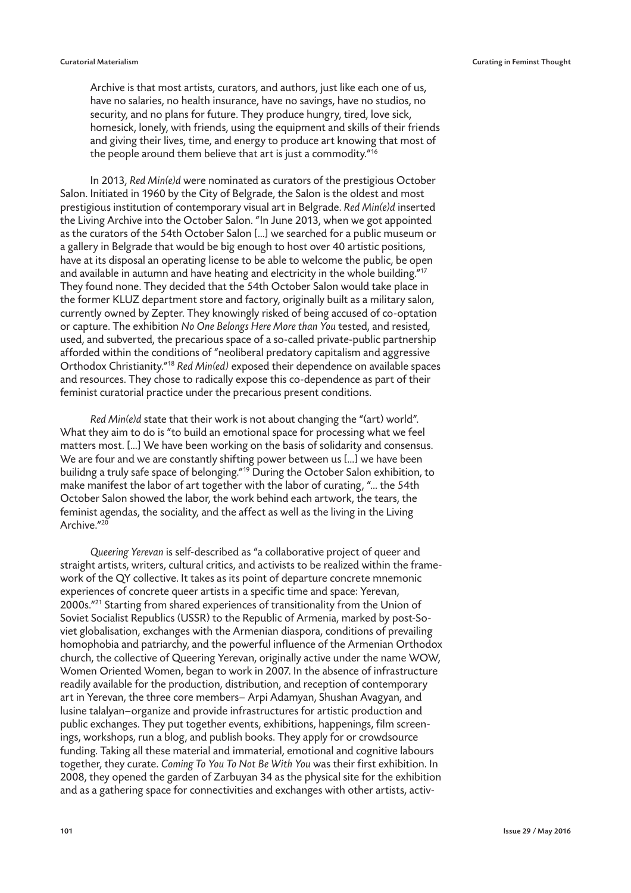Archive is that most artists, curators, and authors, just like each one of us, have no salaries, no health insurance, have no savings, have no studios, no security, and no plans for future. They produce hungry, tired, love sick, homesick, lonely, with friends, using the equipment and skills of their friends and giving their lives, time, and energy to produce art knowing that most of the people around them believe that art is just a commodity."<sup>16</sup>

In 2013, Red Min(e)d were nominated as curators of the prestigious October Salon. Initiated in 1960 by the City of Belgrade, the Salon is the oldest and most prestigious institution of contemporary visual art in Belgrade. Red Min(e)d inserted the Living Archive into the October Salon. "In June 2013, when we got appointed as the curators of the 54th October Salon […] we searched for a public museum or a gallery in Belgrade that would be big enough to host over 40 artistic positions, have at its disposal an operating license to be able to welcome the public, be open and available in autumn and have heating and electricity in the whole building."17 They found none. They decided that the 54th October Salon would take place in the former KLUZ department store and factory, originally built as a military salon, currently owned by Zepter. They knowingly risked of being accused of co-optation or capture. The exhibition No One Belongs Here More than You tested, and resisted, used, and subverted, the precarious space of a so-called private-public partnership afforded within the conditions of "neoliberal predatory capitalism and aggressive Orthodox Christianity."18 Red Min(ed) exposed their dependence on available spaces and resources. They chose to radically expose this co-dependence as part of their feminist curatorial practice under the precarious present conditions.

Red Min(e)d state that their work is not about changing the "(art) world". What they aim to do is "to build an emotional space for processing what we feel matters most. […] We have been working on the basis of solidarity and consensus. We are four and we are constantly shifting power between us […] we have been builidng a truly safe space of belonging."<sup>19</sup> During the October Salon exhibition, to make manifest the labor of art together with the labor of curating, "… the 54th October Salon showed the labor, the work behind each artwork, the tears, the feminist agendas, the sociality, and the affect as well as the living in the Living Archive."<sup>20</sup>

Queering Yerevan is self-described as "a collaborative project of queer and straight artists, writers, cultural critics, and activists to be realized within the framework of the QY collective. It takes as its point of departure concrete mnemonic experiences of concrete queer artists in a specific time and space: Yerevan, 2000s."<sup>21</sup> Starting from shared experiences of transitionality from the Union of Soviet Socialist Republics (USSR) to the Republic of Armenia, marked by post-Soviet globalisation, exchanges with the Armenian diaspora, conditions of prevailing homophobia and patriarchy, and the powerful influence of the Armenian Orthodox church, the collective of Queering Yerevan, originally active under the name WOW, Women Oriented Women, began to work in 2007. In the absence of infrastructure readily available for the production, distribution, and reception of contemporary art in Yerevan, the three core members— Arpi Adamyan, Shushan Avagyan, and lusine talalyan—organize and provide infrastructures for artistic production and public exchanges. They put together events, exhibitions, happenings, film screenings, workshops, run a blog, and publish books. They apply for or crowdsource funding. Taking all these material and immaterial, emotional and cognitive labours together, they curate. Coming To You To Not Be With You was their first exhibition. In 2008, they opened the garden of Zarbuyan 34 as the physical site for the exhibition and as a gathering space for connectivities and exchanges with other artists, activ-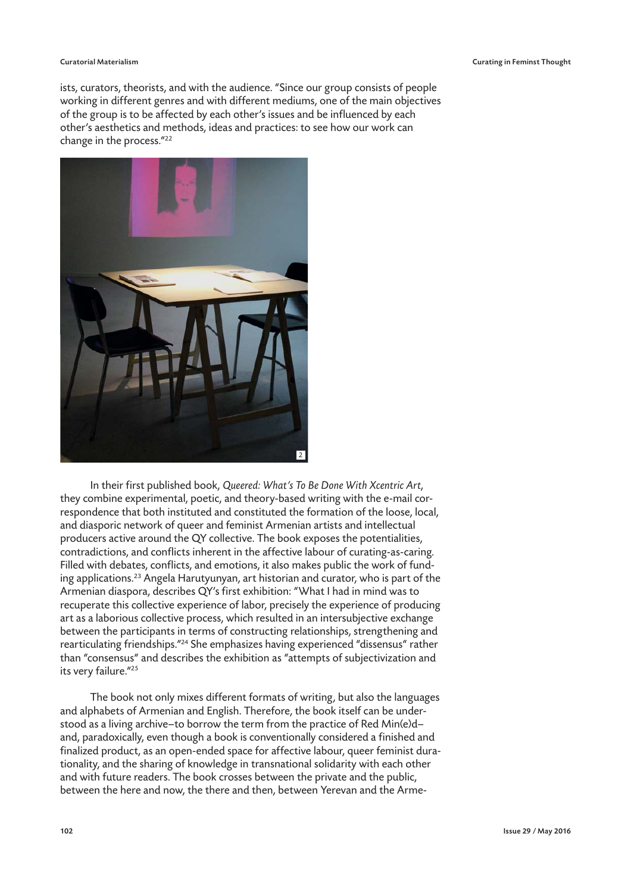#### Curatorial Materialism Curating in Feminst Thought

ists, curators, theorists, and with the audience. "Since our group consists of people working in different genres and with different mediums, one of the main objectives of the group is to be affected by each other's issues and be influenced by each other's aesthetics and methods, ideas and practices: to see how our work can change in the process."22



In their first published book, Queered: What's To Be Done With Xcentric Art, they combine experimental, poetic, and theory-based writing with the e-mail correspondence that both instituted and constituted the formation of the loose, local, and diasporic network of queer and feminist Armenian artists and intellectual producers active around the QY collective. The book exposes the potentialities, contradictions, and conflicts inherent in the affective labour of curating-as-caring. Filled with debates, conflicts, and emotions, it also makes public the work of funding applications.23 Angela Harutyunyan, art historian and curator, who is part of the Armenian diaspora, describes QY's first exhibition: "What I had in mind was to recuperate this collective experience of labor, precisely the experience of producing art as a laborious collective process, which resulted in an intersubjective exchange between the participants in terms of constructing relationships, strengthening and rearticulating friendships."24 She emphasizes having experienced "dissensus" rather than "consensus" and describes the exhibition as "attempts of subjectivization and its very failure."25

The book not only mixes different formats of writing, but also the languages and alphabets of Armenian and English. Therefore, the book itself can be understood as a living archive—to borrow the term from the practice of Red Min(e)d and, paradoxically, even though a book is conventionally considered a finished and finalized product, as an open-ended space for affective labour, queer feminist durationality, and the sharing of knowledge in transnational solidarity with each other and with future readers. The book crosses between the private and the public, between the here and now, the there and then, between Yerevan and the Arme-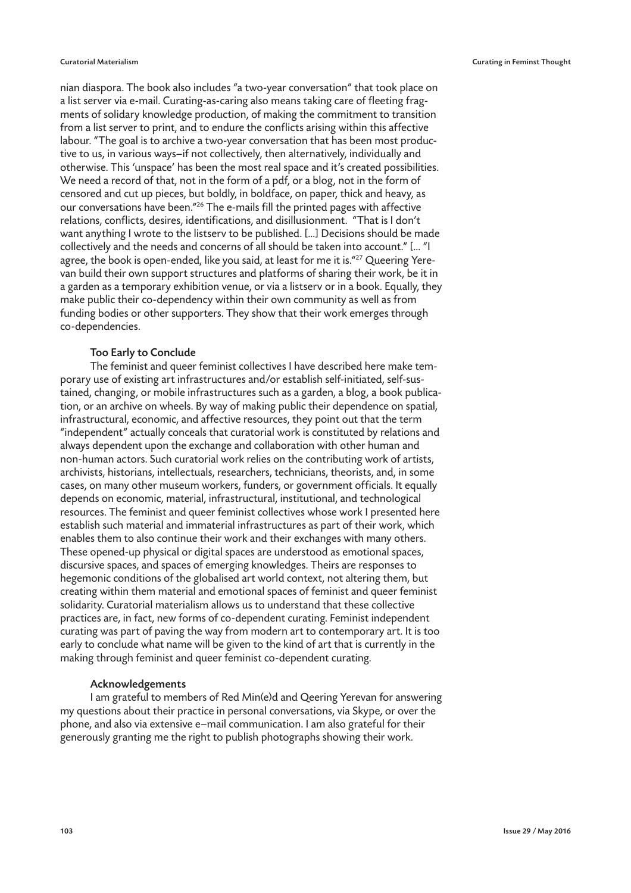nian diaspora. The book also includes "a two-year conversation" that took place on a list server via e-mail. Curating-as-caring also means taking care of fleeting fragments of solidary knowledge production, of making the commitment to transition from a list server to print, and to endure the conflicts arising within this affective labour. "The goal is to archive a two-year conversation that has been most productive to us, in various ways—if not collectively, then alternatively, individually and otherwise. This 'unspace' has been the most real space and it's created possibilities. We need a record of that, not in the form of a pdf, or a blog, not in the form of censored and cut up pieces, but boldly, in boldface, on paper, thick and heavy, as our conversations have been."26 The e-mails fill the printed pages with affective relations, conflicts, desires, identifications, and disillusionment. "That is I don't want anything I wrote to the listserv to be published. […] Decisions should be made collectively and the needs and concerns of all should be taken into account." [… "I agree, the book is open-ended, like you said, at least for me it is."<sup>27</sup> Queering Yerevan build their own support structures and platforms of sharing their work, be it in a garden as a temporary exhibition venue, or via a listserv or in a book. Equally, they make public their co-dependency within their own community as well as from funding bodies or other supporters. They show that their work emerges through co-dependencies.

# Too Early to Conclude

The feminist and queer feminist collectives I have described here make temporary use of existing art infrastructures and/or establish self-initiated, self-sustained, changing, or mobile infrastructures such as a garden, a blog, a book publication, or an archive on wheels. By way of making public their dependence on spatial, infrastructural, economic, and affective resources, they point out that the term "independent" actually conceals that curatorial work is constituted by relations and always dependent upon the exchange and collaboration with other human and non-human actors. Such curatorial work relies on the contributing work of artists, archivists, historians, intellectuals, researchers, technicians, theorists, and, in some cases, on many other museum workers, funders, or government officials. It equally depends on economic, material, infrastructural, institutional, and technological resources. The feminist and queer feminist collectives whose work I presented here establish such material and immaterial infrastructures as part of their work, which enables them to also continue their work and their exchanges with many others. These opened-up physical or digital spaces are understood as emotional spaces, discursive spaces, and spaces of emerging knowledges. Theirs are responses to hegemonic conditions of the globalised art world context, not altering them, but creating within them material and emotional spaces of feminist and queer feminist solidarity. Curatorial materialism allows us to understand that these collective practices are, in fact, new forms of co-dependent curating. Feminist independent curating was part of paving the way from modern art to contemporary art. It is too early to conclude what name will be given to the kind of art that is currently in the making through feminist and queer feminist co-dependent curating.

## Acknowledgements

I am grateful to members of Red Min(e)d and Qeering Yerevan for answering my questions about their practice in personal conversations, via Skype, or over the phone, and also via extensive e–mail communication. I am also grateful for their generously granting me the right to publish photographs showing their work.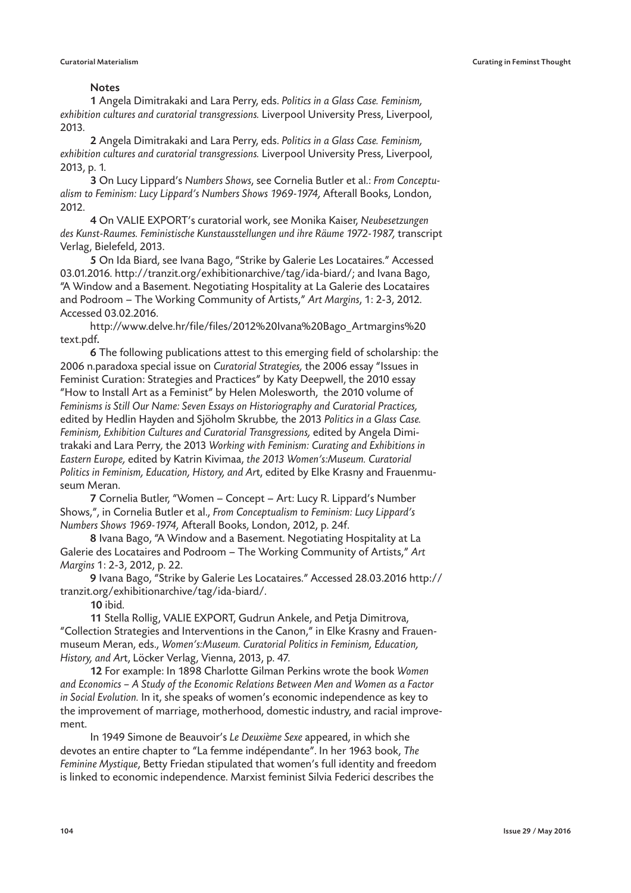### **Notes**

1 Angela Dimitrakaki and Lara Perry, eds. Politics in a Glass Case. Feminism, exhibition cultures and curatorial transgressions. Liverpool University Press, Liverpool, 2013.

2 Angela Dimitrakaki and Lara Perry, eds. Politics in a Glass Case. Feminism, exhibition cultures and curatorial transgressions. Liverpool University Press, Liverpool, 2013, p. 1.

3 On Lucy Lippard's Numbers Shows, see Cornelia Butler et al.: From Conceptualism to Feminism: Lucy Lippard's Numbers Shows 1969-1974, Afterall Books, London, 2012.

4 On VALIE EXPORT's curatorial work, see Monika Kaiser, Neubesetzungen des Kunst-Raumes. Feministische Kunstausstellungen und ihre Räume 1972-1987, transcript Verlag, Bielefeld, 2013.

5 On Ida Biard, see Ivana Bago, "Strike by Galerie Les Locataires." Accessed 03.01.2016. http://tranzit.org/exhibitionarchive/tag/ida-biard/; and Ivana Bago, "A Window and a Basement. Negotiating Hospitality at La Galerie des Locataires and Podroom – The Working Community of Artists," Art Margins, 1: 2-3, 2012. Accessed 03.02.2016.

http://www.delve.hr/file/files/2012%20Ivana%20Bago\_Artmargins%20 text.pdf.

6 The following publications attest to this emerging field of scholarship: the 2006 n.paradoxa special issue on Curatorial Strategies, the 2006 essay "Issues in Feminist Curation: Strategies and Practices" by Katy Deepwell, the 2010 essay "How to Install Art as a Feminist" by Helen Molesworth, the 2010 volume of Feminisms is Still Our Name: Seven Essays on Historiography and Curatorial Practices, edited by Hedlin Hayden and Sjöholm Skrubbe, the 2013 Politics in a Glass Case. Feminism, Exhibition Cultures and Curatorial Transgressions, edited by Angela Dimitrakaki and Lara Perry, the 2013 Working with Feminism: Curating and Exhibitions in Eastern Europe, edited by Katrin Kivimaa, the 2013 Women's:Museum. Curatorial Politics in Feminism, Education, History, and Art, edited by Elke Krasny and Frauenmuseum Meran.

7 Cornelia Butler, "Women – Concept – Art: Lucy R. Lippard's Number Shows,", in Cornelia Butler et al., From Conceptualism to Feminism: Lucy Lippard's Numbers Shows 1969-1974, Afterall Books, London, 2012, p. 24f.

8 Ivana Bago, "A Window and a Basement. Negotiating Hospitality at La Galerie des Locataires and Podroom – The Working Community of Artists," Art Margins 1: 2-3, 2012, p. 22.

9 Ivana Bago, "Strike by Galerie Les Locataires." Accessed 28.03.2016 http:// tranzit.org/exhibitionarchive/tag/ida-biard/.

10 ibid.

11 Stella Rollig, VALIE EXPORT, Gudrun Ankele, and Petja Dimitrova, "Collection Strategies and Interventions in the Canon," in Elke Krasny and Frauenmuseum Meran, eds., Women's:Museum. Curatorial Politics in Feminism, Education, History, and Art, Löcker Verlag, Vienna, 2013, p. 47.

12 For example: In 1898 Charlotte Gilman Perkins wrote the book Women and Economics – A Study of the Economic Relations Between Men and Women as a Factor in Social Evolution. In it, she speaks of women's economic independence as key to the improvement of marriage, motherhood, domestic industry, and racial improvement.

 In 1949 Simone de Beauvoir's Le Deuxième Sexe appeared, in which she devotes an entire chapter to "La femme indépendante". In her 1963 book, The Feminine Mystique, Betty Friedan stipulated that women's full identity and freedom is linked to economic independence. Marxist feminist Silvia Federici describes the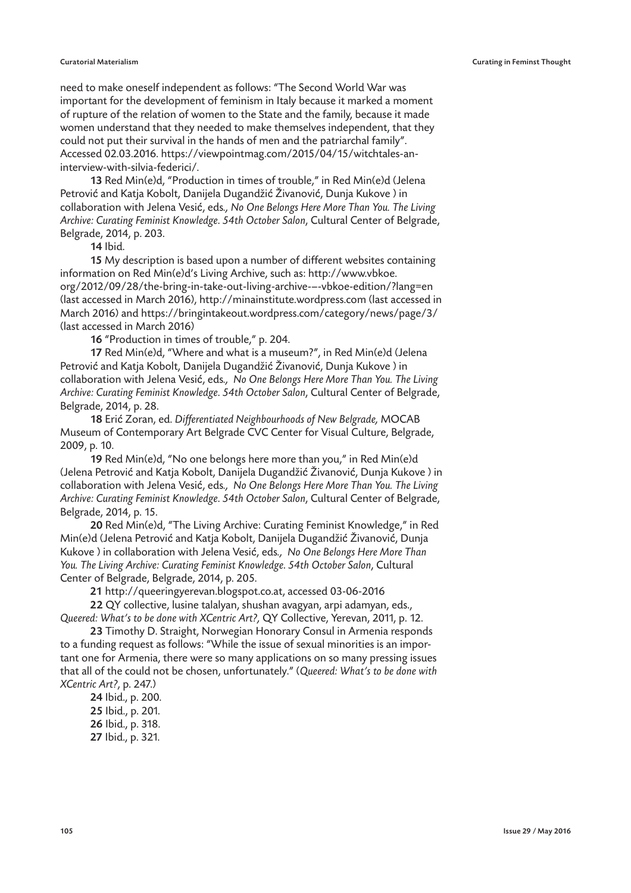#### Curatorial Materialism Curating in Feminst Thought

need to make oneself independent as follows: "The Second World War was important for the development of feminism in Italy because it marked a moment of rupture of the relation of women to the State and the family, because it made women understand that they needed to make themselves independent, that they could not put their survival in the hands of men and the patriarchal family". Accessed 02.03.2016. https://viewpointmag.com/2015/04/15/witchtales-aninterview-with-silvia-federici/.

13 Red Min(e)d, "Production in times of trouble," in Red Min(e)d (Jelena Petrović and Katja Kobolt, Danijela Dugandžić Živanović, Dunja Kukove ) in collaboration with Jelena Vesić, eds., No One Belongs Here More Than You. The Living Archive: Curating Feminist Knowledge. 54th October Salon, Cultural Center of Belgrade, Belgrade, 2014, p. 203.

14 Ibid.

15 My description is based upon a number of different websites containing information on Red Min(e)d's Living Archive, such as: http://www.vbkoe. org/2012/09/28/the-bring-in-take-out-living-archive-–-vbkoe-edition/?lang=en (last accessed in March 2016), http://minainstitute.wordpress.com (last accessed in March 2016) and https://bringintakeout.wordpress.com/category/news/page/3/ (last accessed in March 2016)

16 "Production in times of trouble," p. 204.

17 Red Min(e)d, "Where and what is a museum?", in Red Min(e)d (Jelena Petrović and Katja Kobolt, Danijela Dugandžić Živanović, Dunja Kukove ) in collaboration with Jelena Vesić, eds., No One Belongs Here More Than You. The Living Archive: Curating Feminist Knowledge. 54th October Salon, Cultural Center of Belgrade, Belgrade, 2014, p. 28.

18 Erić Zoran, ed. Differentiated Neighbourhoods of New Belgrade, MOCAB Museum of Contemporary Art Belgrade CVC Center for Visual Culture, Belgrade, 2009, p. 10.

19 Red Min(e)d, "No one belongs here more than you," in Red Min(e)d (Jelena Petrović and Katja Kobolt, Danijela Dugandžić Živanović, Dunja Kukove ) in collaboration with Jelena Vesić, eds., No One Belongs Here More Than You. The Living Archive: Curating Feminist Knowledge. 54th October Salon, Cultural Center of Belgrade, Belgrade, 2014, p. 15.

20 Red Min(e)d, "The Living Archive: Curating Feminist Knowledge," in Red Min(e)d (Jelena Petrović and Katja Kobolt, Danijela Dugandžić Živanović, Dunja Kukove ) in collaboration with Jelena Vesić, eds., No One Belongs Here More Than You. The Living Archive: Curating Feminist Knowledge. 54th October Salon, Cultural Center of Belgrade, Belgrade, 2014, p. 205.

21 http://queeringyerevan.blogspot.co.at, accessed 03-06-2016

22 QY collective, lusine talalyan, shushan avagyan, arpi adamyan, eds., Queered: What's to be done with XCentric Art?, QY Collective, Yerevan, 2011, p. 12.

23 Timothy D. Straight, Norwegian Honorary Consul in Armenia responds to a funding request as follows: "While the issue of sexual minorities is an important one for Armenia, there were so many applications on so many pressing issues that all of the could not be chosen, unfortunately." (Queered: What's to be done with XCentric Art?, p. 247.)

24 Ibid., p. 200. 25 Ibid., p. 201.

26 Ibid., p. 318.

27 Ibid., p. 321.